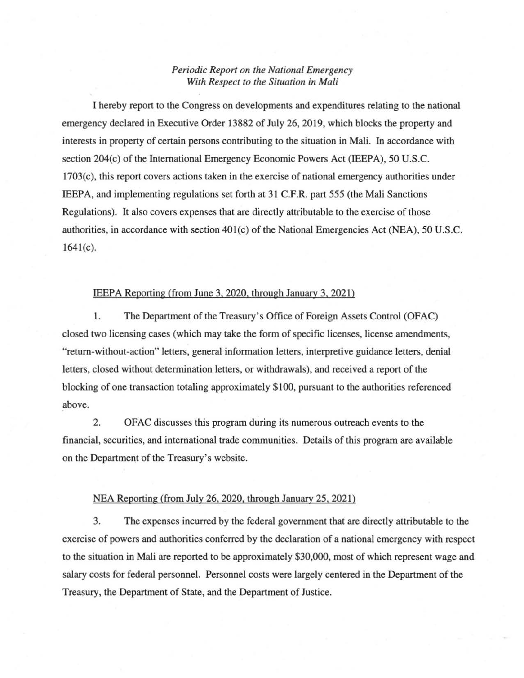## *Periodic Report on the National Emergency With Respect to the Situation in Mali*

I hereby report to the Congress on developments and expenditures relating to the national emergency declared in Executive Order 13882 of July 26,2019, which blocks the property and interests in property of certain persons contributing to the situation in Mali. In accordance with section 204(c) of the International Emergency Economic Powers Act (IEEPA), 50 U.S.C. 1703( c), this report covers actions taken in the exercise of national emergency authorities under IEEPA, and implementing regulations set forth at 31 C.F.R. part 555 (the Mali Sanctions Regulations). It also covers expenses that are directly attributable to the exercise of those authorities, in accordance with section 401(c) of the National Emergencies Act (NEA), 50 U.S.C.  $1641(c)$ .

## IEEPA Reporting (from June 3, 2020, through January 3, 2021)

1. The Department of the Treasury's Office of Foreign Assets Control (OFAC) closed two licensing cases (which may take the form of specific licenses, license amendments, "return-without-action" letters, general information letters, interpretive guidance letters, denial letters, closed without determination letters, or withdrawals), and received a report of the blocking of one transaction totaling approximately \$100, pursuant to the authorities referenced above.

2. OFAC discusses this program during its numerous outreach events to the financial, securities, and international trade communities. Details of this program are available on the Department of the Treasury's website.

## NEA Reporting (from July 26, 2020, through January 25, 2021)

3. The expenses incurred by the federal government that are directly attributable to the exercise of powers and authorities conferred by the declaration of a national emergency with respect to the situation in Mali are reported to be approximately \$30,000, most of which represent wage and salary costs for federal personnel. Personnel costs were largely centered in the Department of the Treasury, the Department of State, and the Department of Justice.